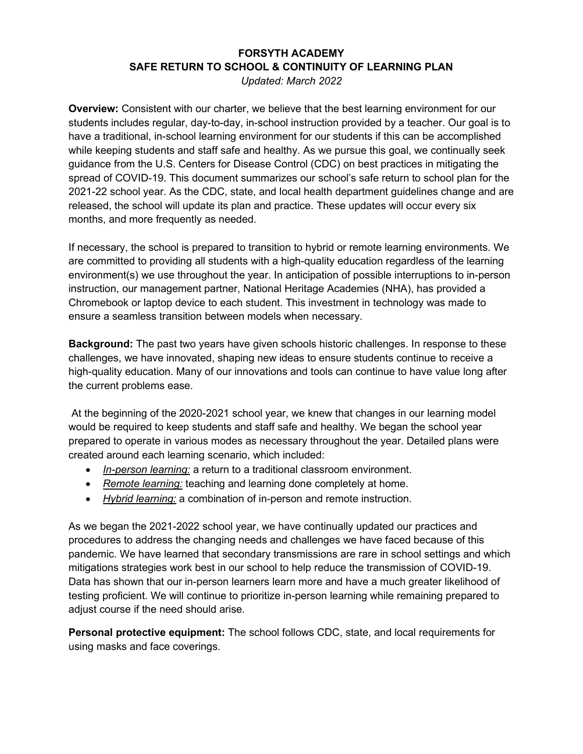## **FORSYTH ACADEMY SAFE RETURN TO SCHOOL & CONTINUITY OF LEARNING PLAN**

*Updated: March 2022* 

**Overview:** Consistent with our charter, we believe that the best learning environment for our students includes regular, day-to-day, in-school instruction provided by a teacher. Our goal is to have a traditional, in-school learning environment for our students if this can be accomplished while keeping students and staff safe and healthy. As we pursue this goal, we continually seek guidance from the U.S. Centers for Disease Control (CDC) on best practices in mitigating the spread of COVID-19. This document summarizes our school's safe return to school plan for the 2021-22 school year. As the CDC, state, and local health department guidelines change and are released, the school will update its plan and practice. These updates will occur every six months, and more frequently as needed.

If necessary, the school is prepared to transition to hybrid or remote learning environments. We are committed to providing all students with a high-quality education regardless of the learning environment(s) we use throughout the year. In anticipation of possible interruptions to in-person instruction, our management partner, National Heritage Academies (NHA), has provided a Chromebook or laptop device to each student. This investment in technology was made to ensure a seamless transition between models when necessary.

**Background:** The past two years have given schools historic challenges. In response to these challenges, we have innovated, shaping new ideas to ensure students continue to receive a high-quality education. Many of our innovations and tools can continue to have value long after the current problems ease.

At the beginning of the 2020-2021 school year, we knew that changes in our learning model would be required to keep students and staff safe and healthy. We began the school year prepared to operate in various modes as necessary throughout the year. Detailed plans were created around each learning scenario, which included:

- *In-person learning:* a return to a traditional classroom environment.
- *Remote learning:* teaching and learning done completely at home.
- *Hybrid learning:* a combination of in-person and remote instruction.

As we began the 2021-2022 school year, we have continually updated our practices and procedures to address the changing needs and challenges we have faced because of this pandemic. We have learned that secondary transmissions are rare in school settings and which mitigations strategies work best in our school to help reduce the transmission of COVID-19. Data has shown that our in-person learners learn more and have a much greater likelihood of testing proficient. We will continue to prioritize in-person learning while remaining prepared to adjust course if the need should arise.

**Personal protective equipment:** The school follows CDC, state, and local requirements for using masks and face coverings.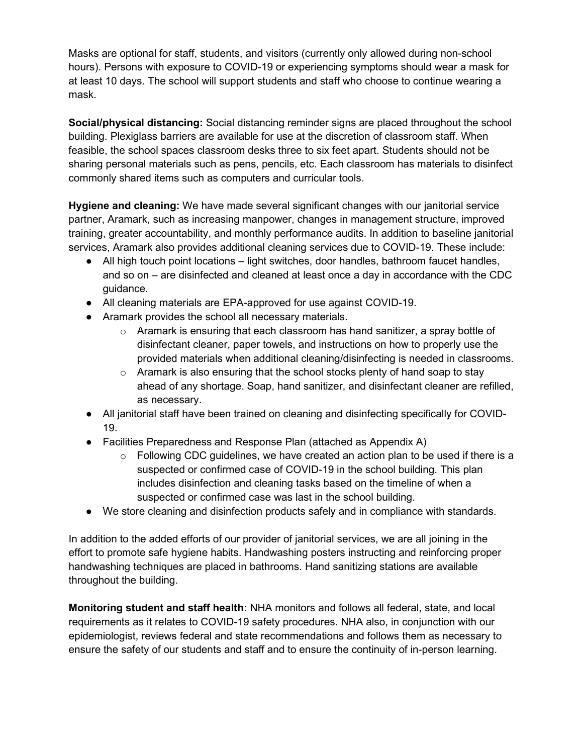Masks are optional for staff, students, and visitors (currently only allowed during non-school hours). Persons with exposure to COVID-19 or experiencing symptoms should wear a mask for at least 10 days. The school will support students and staff who choose to continue wearing a mask.

**Social/physical distancing:** Social distancing reminder signs are placed throughout the school building. Plexiglass barriers are available for use at the discretion of classroom staff. When feasible, the school spaces classroom desks three to six feet apart. Students should not be sharing personal materials such as pens, pencils, etc. Each classroom has materials to disinfect commonly shared items such as computers and curricular tools.

**Hygiene and cleaning:** We have made several significant changes with our janitorial service partner, Aramark, such as increasing manpower, changes in management structure, improved training, greater accountability, and monthly performance audits. In addition to baseline janitorial services, Aramark also provides additional cleaning services due to COVID-19. These include:

- All high touch point locations light switches, door handles, bathroom faucet handles, and so on – are disinfected and cleaned at least once a day in accordance with the CDC guidance.
- All cleaning materials are EPA-approved for use against COVID-19.
- Aramark provides the school all necessary materials.
	- $\circ$  Aramark is ensuring that each classroom has hand sanitizer, a spray bottle of disinfectant cleaner, paper towels, and instructions on how to properly use the provided materials when additional cleaning/disinfecting is needed in classrooms.
	- $\circ$  Aramark is also ensuring that the school stocks plenty of hand soap to stay ahead of any shortage. Soap, hand sanitizer, and disinfectant cleaner are refilled, as necessary.
- All janitorial staff have been trained on cleaning and disinfecting specifically for COVID-19.
- Facilities Preparedness and Response Plan (attached as Appendix A)
	- $\circ$  Following CDC guidelines, we have created an action plan to be used if there is a suspected or confirmed case of COVID-19 in the school building. This plan includes disinfection and cleaning tasks based on the timeline of when a suspected or confirmed case was last in the school building.
- We store cleaning and disinfection products safely and in compliance with standards.

In addition to the added efforts of our provider of janitorial services, we are all joining in the effort to promote safe hygiene habits. Handwashing posters instructing and reinforcing proper handwashing techniques are placed in bathrooms. Hand sanitizing stations are available throughout the building.

**Monitoring student and staff health:** NHA monitors and follows all federal, state, and local requirements as it relates to COVID-19 safety procedures. NHA also, in conjunction with our epidemiologist, reviews federal and state recommendations and follows them as necessary to ensure the safety of our students and staff and to ensure the continuity of in-person learning.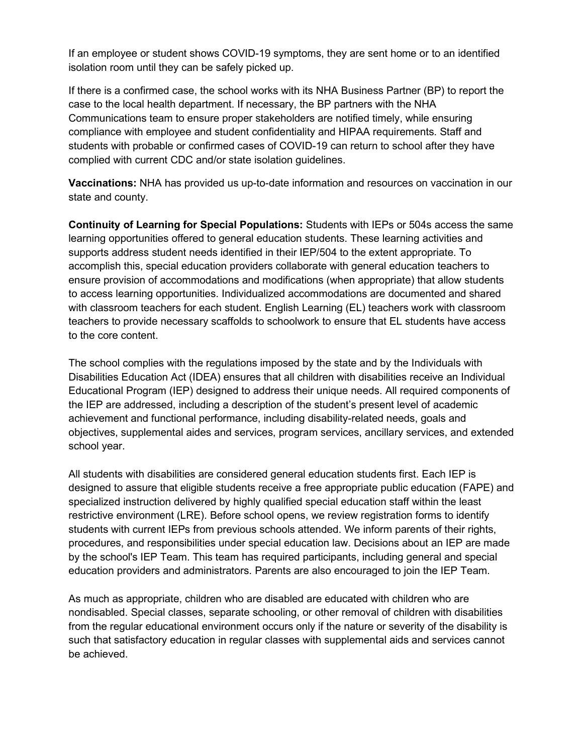If an employee or student shows COVID-19 symptoms, they are sent home or to an identified isolation room until they can be safely picked up.

If there is a confirmed case, the school works with its NHA Business Partner (BP) to report the case to the local health department. If necessary, the BP partners with the NHA Communications team to ensure proper stakeholders are notified timely, while ensuring compliance with employee and student confidentiality and HIPAA requirements. Staff and students with probable or confirmed cases of COVID-19 can return to school after they have complied with current CDC and/or state isolation guidelines.

**Vaccinations:** NHA has provided us up-to-date information and resources on vaccination in our state and county.

**Continuity of Learning for Special Populations:** Students with IEPs or 504s access the same learning opportunities offered to general education students. These learning activities and supports address student needs identified in their IEP/504 to the extent appropriate. To accomplish this, special education providers collaborate with general education teachers to ensure provision of accommodations and modifications (when appropriate) that allow students to access learning opportunities. Individualized accommodations are documented and shared with classroom teachers for each student. English Learning (EL) teachers work with classroom teachers to provide necessary scaffolds to schoolwork to ensure that EL students have access to the core content.

The school complies with the regulations imposed by the state and by the Individuals with Disabilities Education Act (IDEA) ensures that all children with disabilities receive an Individual Educational Program (IEP) designed to address their unique needs. All required components of the IEP are addressed, including a description of the student's present level of academic achievement and functional performance, including disability-related needs, goals and objectives, supplemental aides and services, program services, ancillary services, and extended school year.

All students with disabilities are considered general education students first. Each IEP is designed to assure that eligible students receive a free appropriate public education (FAPE) and specialized instruction delivered by highly qualified special education staff within the least restrictive environment (LRE). Before school opens, we review registration forms to identify students with current IEPs from previous schools attended. We inform parents of their rights, procedures, and responsibilities under special education law. Decisions about an IEP are made by the school's IEP Team. This team has required participants, including general and special education providers and administrators. Parents are also encouraged to join the IEP Team.

As much as appropriate, children who are disabled are educated with children who are nondisabled. Special classes, separate schooling, or other removal of children with disabilities from the regular educational environment occurs only if the nature or severity of the disability is such that satisfactory education in regular classes with supplemental aids and services cannot be achieved.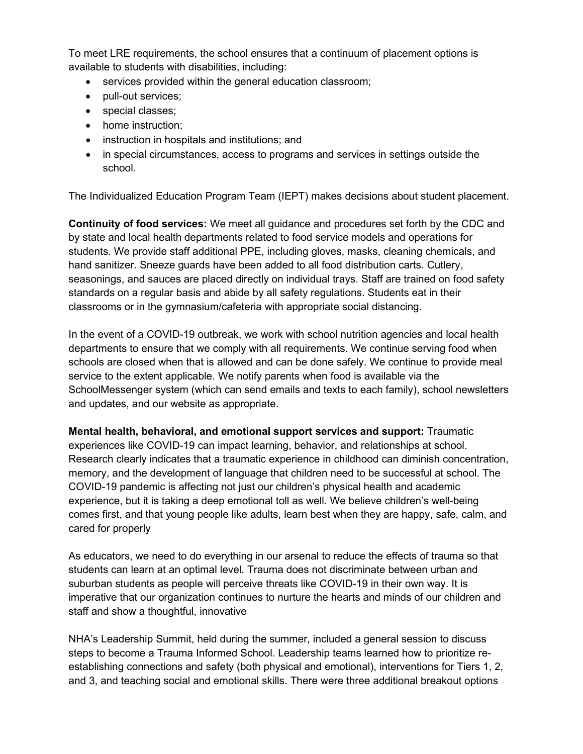To meet LRE requirements, the school ensures that a continuum of placement options is available to students with disabilities, including:

- services provided within the general education classroom;
- pull-out services;
- special classes;
- home instruction;
- instruction in hospitals and institutions; and
- in special circumstances, access to programs and services in settings outside the school.

The Individualized Education Program Team (IEPT) makes decisions about student placement.

**Continuity of food services:** We meet all guidance and procedures set forth by the CDC and by state and local health departments related to food service models and operations for students. We provide staff additional PPE, including gloves, masks, cleaning chemicals, and hand sanitizer. Sneeze guards have been added to all food distribution carts. Cutlery, seasonings, and sauces are placed directly on individual trays. Staff are trained on food safety standards on a regular basis and abide by all safety regulations. Students eat in their classrooms or in the gymnasium/cafeteria with appropriate social distancing.

In the event of a COVID-19 outbreak, we work with school nutrition agencies and local health departments to ensure that we comply with all requirements. We continue serving food when schools are closed when that is allowed and can be done safely. We continue to provide meal service to the extent applicable. We notify parents when food is available via the SchoolMessenger system (which can send emails and texts to each family), school newsletters and updates, and our website as appropriate.

**Mental health, behavioral, and emotional support services and support:** Traumatic

experiences like COVID-19 can impact learning, behavior, and relationships at school. Research clearly indicates that a traumatic experience in childhood can diminish concentration, memory, and the development of language that children need to be successful at school. The COVID-19 pandemic is affecting not just our children's physical health and academic experience, but it is taking a deep emotional toll as well. We believe children's well-being comes first, and that young people like adults, learn best when they are happy, safe, calm, and cared for properly

As educators, we need to do everything in our arsenal to reduce the effects of trauma so that students can learn at an optimal level. Trauma does not discriminate between urban and suburban students as people will perceive threats like COVID-19 in their own way. It is imperative that our organization continues to nurture the hearts and minds of our children and staff and show a thoughtful, innovative

NHA's Leadership Summit, held during the summer, included a general session to discuss steps to become a Trauma Informed School. Leadership teams learned how to prioritize reestablishing connections and safety (both physical and emotional), interventions for Tiers 1, 2, and 3, and teaching social and emotional skills. There were three additional breakout options